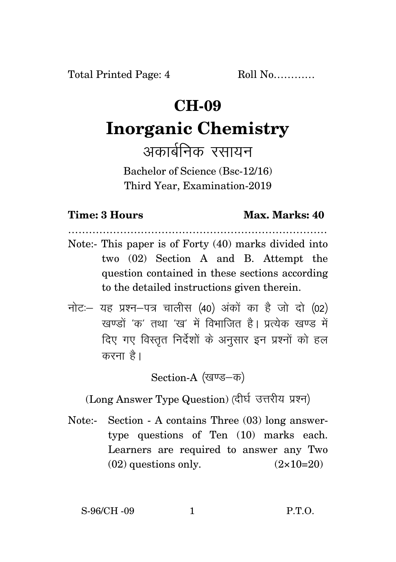## **CH-09**

# **Inorganic Chemistry**

अकार्बनिक रसायन

Bachelor of Science (Bsc-12/16) Third Year, Examination-2019

### **Time: 3 Hours Max. Marks: 40**

…………………………………………………………………

- Note:- This paper is of Forty (40) marks divided into two (02) Section A and B. Attempt the question contained in these sections according to the detailed instructions given therein.
- $\vec{\eta}$ नोटः यह प्रश्न-पत्र चालीस (40) अंकों का है जो दो (02)  $\vec{k}$ खण्डों 'क' तथा 'ख' में विभाजित है। पत्थेक खण्ड में दिए गए विस्तृत निर्देशों के अनुसार इन प्रश्नों को हल करना $\hat{g}$ ।

Section-A (खण्ड–क)

(Long Answer Type Question) (दीर्घ उत्तरीय प्रश्न)

Note:- Section - A contains Three (03) long answertype questions of Ten (10) marks each. Learners are required to answer any Two  $(02)$  questions only.  $(2 \times 10=20)$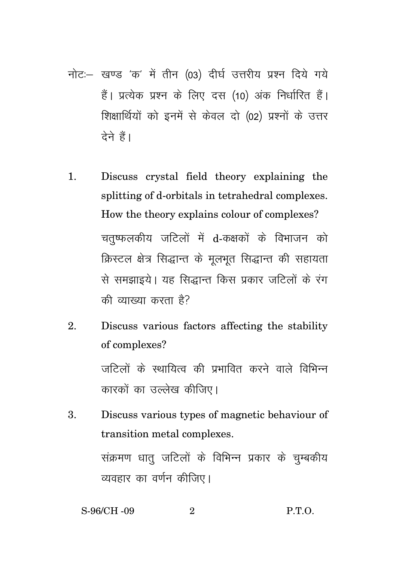- नोट:- खण्ड 'क' में तीन (03) दीर्घ उत्तरीय प्रश्न दिये गये हैं। प्रत्येक प्रश्न के लिए दस (10) अंक निर्धारित हैं। शिक्षार्थियों को इनमें से केवल दो (02) प्रश्नों के उत्तर देने हैं।
- Discuss crystal field theory explaining the  $1<sub>1</sub>$ splitting of d-orbitals in tetrahedral complexes. How the theory explains colour of complexes? चतष्फलकीय जटिलों में d-कक्षकों के विभाजन को क्रिस्टल क्षेत्र सिद्धान्त के मूलभूत सिद्धान्त की सहायता से समझाइये। यह सिद्धान्त किस प्रकार जटिलों के रंग की व्याख्या करता है?
- $\overline{2}$ . Discuss various factors affecting the stability of complexes? जटिलों के स्थायित्व की प्रभावित करने वाले विभिन्न कारकों का उल्लेख कीजिए।
- Discuss various types of magnetic behaviour of  $\mathbf{R}$ transition metal complexes. संक्रमण धात् जटिलों के विभिन्न प्रकार के चुम्बकीय व्यवहार का वर्णन कीजिए।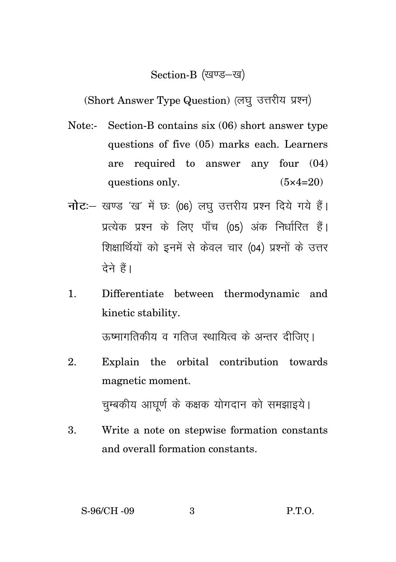### Section-B (खण्ड-ख)

(Short Answer Type Question) (लघु उत्तरीय प्रश्न)

- Note:- Section-B contains six (06) short answer type questions of five (05) marks each. Learners are required to answer any four (04) questions only.  $(5 \times 4=20)$
- **नोट**: खण्ड 'ख' में छः (06) लघु उत्तरीय प्रश्न दिये गये हैं। प्रत्येक प्रश्न के लिए पाँच (05) अंक निर्धारित हैं। शिक्षार्थियों को इनमें से केवल चार (04) प्रश्नों के उत्तर देने हैं।
- 1. Differentiate between thermodynamic and kinetic stability.

ऊष्मागतिकीय व गतिज स्थायित्व के अन्तर दीजिए।

- 2. Explain the orbital contribution towards magnetic moment. चुम्बकीय आघूर्ण के कक्षक योगदान को समझाइये।
- 3. Write a note on stepwise formation constants and overall formation constants.